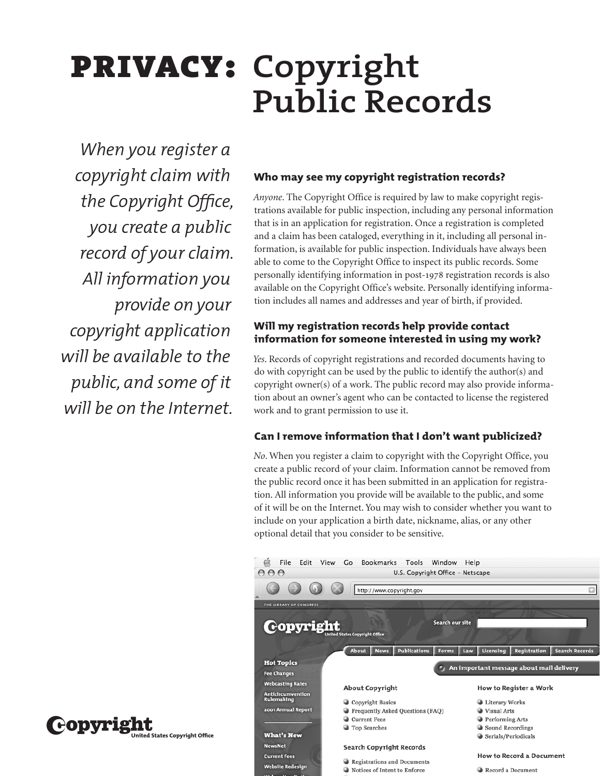# privacy: **Copyright Public Records**

*When you register a copyright claim with the Copyright Office, you create a public record of your claim. All information you provide on your copyright application will be available to the public, and some of it will be on the Internet.*

 $\mathbf{C}$ **ODYI** 18th  $\mathbf{C}_{\text{\tiny{United States Copyright 0ffice}}}$ 

# **Who may see my copyright registration records?**

*Anyone*. The Copyright Office is required by law to make copyright registrations available for public inspection, including any personal information that is in an application for registration. Once a registration is completed and a claim has been cataloged, everything in it, including all personal information, is available for public inspection. Individuals have always been able to come to the Copyright Office to inspect its public records. Some personally identifying information in post-1978 registration records is also available on the Copyright Office's website. Personally identifying information includes all names and addresses and year of birth, if provided.

# **Will my registration records help provide contact information for someone interested in using my work?**

*Yes*. Records of copyright registrations and recorded documents having to do with copyright can be used by the public to identify the author(s) and copyright owner(s) of a work. The public record may also provide information about an owner's agent who can be contacted to license the registered work and to grant permission to use it.

# **Can I remove information that I don't want publicized?**

*No*. When you register a claim to copyright with the Copyright Office, you create a public record of your claim. Information cannot be removed from the public record once it has been submitted in an application for registration. All information you provide will be available to the public, and some of it will be on the Internet. You may wish to consider whether you want to include on your application a birth date, nickname, alias, or any other optional detail that you consider to be sensitive.